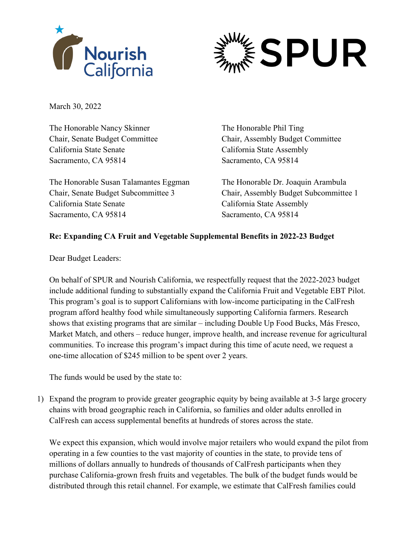



March 30, 2022

The Honorable Nancy Skinner The Honorable Phil Ting California State Senate California State Assembly Sacramento, CA 95814 Sacramento, CA 95814

The Honorable Susan Talamantes Eggman The Honorable Dr. Joaquin Arambula Chair, Senate Budget Subcommittee 3 Chair, Assembly Budget Subcommittee 1 California State Senate California State Assembly Sacramento, CA 95814 Sacramento, CA 95814

Chair, Senate Budget Committee Chair, Assembly Budget Committee

## **Re: Expanding CA Fruit and Vegetable Supplemental Benefits in 2022-23 Budget**

Dear Budget Leaders:

On behalf of SPUR and Nourish California, we respectfully request that the 2022-2023 budget include additional funding to substantially expand the California Fruit and Vegetable EBT Pilot. This program's goal is to support Californians with low-income participating in the CalFresh program afford healthy food while simultaneously supporting California farmers. Research shows that existing programs that are similar – including Double Up Food Bucks, Más Fresco, Market Match, and others – reduce hunger, improve health, and increase revenue for agricultural communities. To increase this program's impact during this time of acute need, we request a one-time allocation of \$245 million to be spent over 2 years.

The funds would be used by the state to:

1) Expand the program to provide greater geographic equity by being available at 3-5 large grocery chains with broad geographic reach in California, so families and older adults enrolled in CalFresh can access supplemental benefits at hundreds of stores across the state.

We expect this expansion, which would involve major retailers who would expand the pilot from operating in a few counties to the vast majority of counties in the state, to provide tens of millions of dollars annually to hundreds of thousands of CalFresh participants when they purchase California-grown fresh fruits and vegetables. The bulk of the budget funds would be distributed through this retail channel. For example, we estimate that CalFresh families could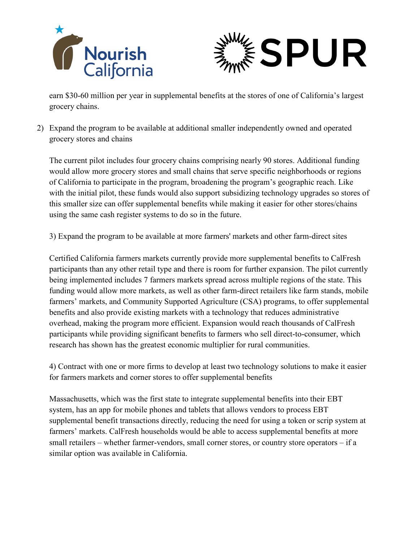



earn \$30-60 million per year in supplemental benefits at the stores of one of California's largest grocery chains.

2) Expand the program to be available at additional smaller independently owned and operated grocery stores and chains

The current pilot includes four grocery chains comprising nearly 90 stores. Additional funding would allow more grocery stores and small chains that serve specific neighborhoods or regions of California to participate in the program, broadening the program's geographic reach. Like with the initial pilot, these funds would also support subsidizing technology upgrades so stores of this smaller size can offer supplemental benefits while making it easier for other stores/chains using the same cash register systems to do so in the future.

3) Expand the program to be available at more farmers' markets and other farm-direct sites

Certified California farmers markets currently provide more supplemental benefits to CalFresh participants than any other retail type and there is room for further expansion. The pilot currently being implemented includes 7 farmers markets spread across multiple regions of the state. This funding would allow more markets, as well as other farm-direct retailers like farm stands, mobile farmers' markets, and Community Supported Agriculture (CSA) programs, to offer supplemental benefits and also provide existing markets with a technology that reduces administrative overhead, making the program more efficient. Expansion would reach thousands of CalFresh participants while providing significant benefits to farmers who sell direct-to-consumer, which research has shown has the greatest economic multiplier for rural communities.

4) Contract with one or more firms to develop at least two technology solutions to make it easier for farmers markets and corner stores to offer supplemental benefits

Massachusetts, which was the first state to integrate supplemental benefits into their EBT system, has an app for mobile phones and tablets that allows vendors to process EBT supplemental benefit transactions directly, reducing the need for using a token or scrip system at farmers' markets. CalFresh households would be able to access supplemental benefits at more small retailers – whether farmer-vendors, small corner stores, or country store operators – if a similar option was available in California.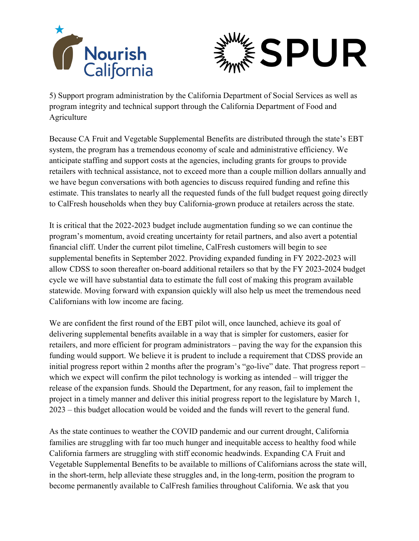



5) Support program administration by the California Department of Social Services as well as program integrity and technical support through the California Department of Food and Agriculture

Because CA Fruit and Vegetable Supplemental Benefits are distributed through the state's EBT system, the program has a tremendous economy of scale and administrative efficiency. We anticipate staffing and support costs at the agencies, including grants for groups to provide retailers with technical assistance, not to exceed more than a couple million dollars annually and we have begun conversations with both agencies to discuss required funding and refine this estimate. This translates to nearly all the requested funds of the full budget request going directly to CalFresh households when they buy California-grown produce at retailers across the state.

It is critical that the 2022-2023 budget include augmentation funding so we can continue the program's momentum, avoid creating uncertainty for retail partners, and also avert a potential financial cliff. Under the current pilot timeline, CalFresh customers will begin to see supplemental benefits in September 2022. Providing expanded funding in FY 2022-2023 will allow CDSS to soon thereafter on-board additional retailers so that by the FY 2023-2024 budget cycle we will have substantial data to estimate the full cost of making this program available statewide. Moving forward with expansion quickly will also help us meet the tremendous need Californians with low income are facing.

We are confident the first round of the EBT pilot will, once launched, achieve its goal of delivering supplemental benefits available in a way that is simpler for customers, easier for retailers, and more efficient for program administrators – paving the way for the expansion this funding would support. We believe it is prudent to include a requirement that CDSS provide an initial progress report within 2 months after the program's "go-live" date. That progress report – which we expect will confirm the pilot technology is working as intended – will trigger the release of the expansion funds. Should the Department, for any reason, fail to implement the project in a timely manner and deliver this initial progress report to the legislature by March 1, 2023 – this budget allocation would be voided and the funds will revert to the general fund.

As the state continues to weather the COVID pandemic and our current drought, California families are struggling with far too much hunger and inequitable access to healthy food while California farmers are struggling with stiff economic headwinds. Expanding CA Fruit and Vegetable Supplemental Benefits to be available to millions of Californians across the state will, in the short-term, help alleviate these struggles and, in the long-term, position the program to become permanently available to CalFresh families throughout California. We ask that you